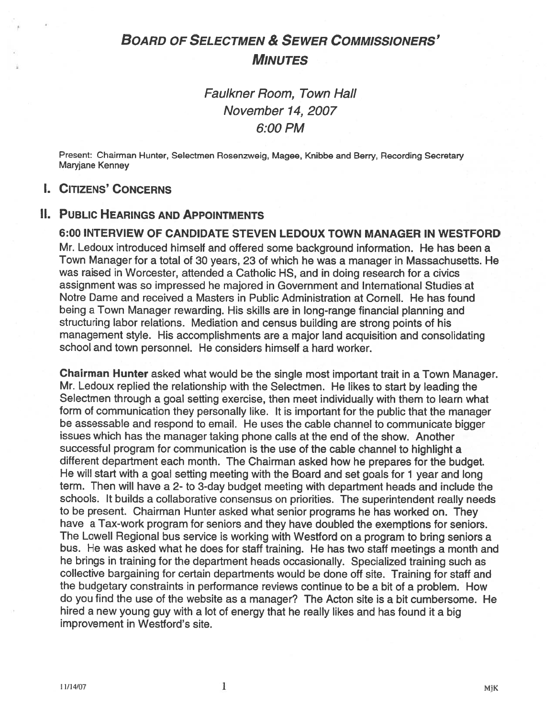# BOARD OF SELECTMEN & SEWER COMMISSIONERS' **MINUTES**

Faulkner Room, Town Hall November 74, 2007 6:00 PM

Present: Chairman Hunter, Selectmen Rosenzweig, Magee, Knibbe and Berry, Recording Secretary Maryjane Kenney

# I. CITIZENS' CONCERNS

# II. PUBLIC HEARINGS AND APPOINTMENTS

6:00 INTERVIEW OF CANDIDATE STEVEN LEDOUX TOWN MANAGER IN WESTFORD Mr. Ledoux introduced himself and offered some background information. He has been <sup>a</sup> Town Manager for <sup>a</sup> total of 30 years, 23 of which he was <sup>a</sup> manager in Massachusetts. He was raised in Worcester, attended <sup>a</sup> Catholic HS, and in doing research for <sup>a</sup> civics assignment was so impressed he majored in Government and International Studies at Notre Dame and received <sup>a</sup> Masters in Public Administration at Cornell. He has found being <sup>a</sup> Town Manager rewarding. His skills are in long-range financial <sup>p</sup>lanning and structuring labor relations. Mediation and census building are strong points of his managemen<sup>t</sup> style. His accomplishments are <sup>a</sup> major land acquisition and consolidating school and town personnel. He considers himself <sup>a</sup> hard worker.

Chairman Hunter asked what would be the single most important trait in <sup>a</sup> Town Manager. Mr. Ledoux replied the relationship with the Selectmen. He likes to start by leading the Selectmen through <sup>a</sup> goa<sup>l</sup> setting exercise, then meet individually with them to learn what form of communication they personally like. It is important for the public that the manager be assessable and respond to email. He uses the cable channel to communicate bigger issues which has the manager taking <sup>p</sup>hone calls at the end of the show. Another successful program for communication is the use of the cable channel to highlight <sup>a</sup> different department each month. The Chairman asked how he prepares for the budget. He will start with <sup>a</sup> goa<sup>l</sup> setting meeting with the Board and set goals for <sup>1</sup> year and long term. Then will have <sup>a</sup> 2- to 3-day budget meeting with department heads and include the schools. It builds <sup>a</sup> collaborative consensus on priorities. The superintendent really needs to be present. Chairman Hunter asked what senior programs he has worked on. They have <sup>a</sup> Tax-work program for seniors and they have doubled the exemptions for seniors. The Lowell Regional bus service is working with Westford on a program to bring seniors a bus. He was asked what he does for staff training. He has two staff meetings <sup>a</sup> month and he brings in training for the department heads occasionally. Specialized training such as collective bargaining for certain departments would be done off site. Training for staff and the budgetary constraints in performance reviews continue to be <sup>a</sup> bit of <sup>a</sup> problem. How do you find the use of the website as <sup>a</sup> manager? The Acton site is <sup>a</sup> bit cumbersome. He hired <sup>a</sup> new young guy with <sup>a</sup> lot of energy that he really likes and has found it <sup>a</sup> big improvement in Westford's site.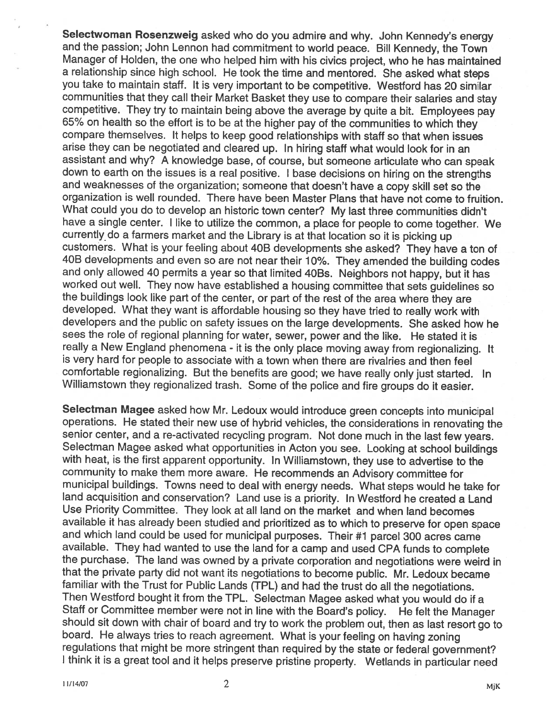Selectwoman Rosenzweig asked who do you admire and why. John Kennedy's energy and the passion; John Lennon had commitment to world peace. Bill Kennedy, the Town Manager of Holden, the one who helped him with his civics project, who he has maintained <sup>a</sup> relationship since high school. He took the time and mentored. She asked what steps you take to maintain staff. It is very important to be competitive. Wesiford has <sup>20</sup> similar communities that they call their Market Basket they use to compare their salaries and stay competitive. They try to maintain being above the average by quite <sup>a</sup> bit. Employees pay 65% on health so the effort is to be at the higher pay of the communities to which they compare themselves. It helps to keep good relationships with staff so that when issues arise they can be negotiated and cleared up. In hiring staff what would look for in an assistant and why? <sup>A</sup> knowledge base, of course, but someone articulate who can speak down to earth on the issues is <sup>a</sup> real positive. <sup>I</sup> base decisions on hiring on the strengths and weaknesses of the organization; someone that doesn't have <sup>a</sup> copy skill set so the organization is well rounded. There have been Master Plans that have not come to fruition. What could you do to develop an historic town center? My last three communities didn't have <sup>a</sup> single center. I like to utilize the common, <sup>a</sup> place for people to come together. We currently do <sup>a</sup> farmers market and the Library is at that location so it is <sup>p</sup>icking up customers. What is your feeling about 40B developments she asked? They have <sup>a</sup> ton of 40B developments and even so are not near their 10%. They amended the building codes and only allowed 40 permits a year so that limited 40Bs. Neighbors not happy, but it has worked out well. They now have established <sup>a</sup> housing committee that sets guidelines so the buildings look like part of the center, or part of the rest of the area where they are developed. What they want is affordable housing so they have tried to really work with developers and the public on safety issues on the large developments. She asked how he sees the role of regional <sup>p</sup>lanning for water, sewer, power and the like. He stated it is really a New England phenomena - it is the only place moving away from regionalizing. It<br>is very hard for people to associate with a town when there are rivalries and then feel is very hard for people to associate with a town when there are rivalries and then feel comfortable regionalizing. But the benefits are good; we have really only just started. In Williamstown they regionalized trash. Some of the police and fire groups do it easier.

Selectman Magee asked how Mr. Ledoux would introduce green concepts into municipal operations. He stated their new use of hybrid vehicles, the considerations in renovating the senior center, and <sup>a</sup> re-activated recycling program. Not done much in the last few years. Selectman Magee asked what opportunities in Acton you see. Looking at school buildings with heat, is the first apparent opportunity. In Williamstown, they use to advertise to the community to make them more aware. He recommends an Advisory committee for municipal buildings. Towns need to deal with energy needs. What steps would he take for land acquisition and conservation? Land use is <sup>a</sup> priority. In Wesiford he created <sup>a</sup> Land Use Priority Committee. They look at all land on the market and when land becomes available it has already been studied and prioritized as to which to preserve for open space and which land could be used for municipal purposes. Their #1 parcel <sup>300</sup> acres came available. They had wanted to use the land for <sup>a</sup> camp and used CPA funds to complete the purchase. The land was owned by <sup>a</sup> private corporation and negotiations were weird in that the private party did not want its negotiations to become public. Mr. Ledoux became familiar with the Trust for Public Lands (TPL) and had the trust do all the negotiations. Then Wesiford bought it from the TPL. Selectman Magee asked what you would do if a Staff or Committee member were not in line with the Board's policy. He felt the Manager should sit down with chair of board and try to work the problem out, then as last resort go to board. He always tries to reach agreement. What is your feeling on having zoning regulations that might be more stringent than required by the state or federal government? I think it is <sup>a</sup> great tool and it helps preserve pristine property. Wetlands in particular need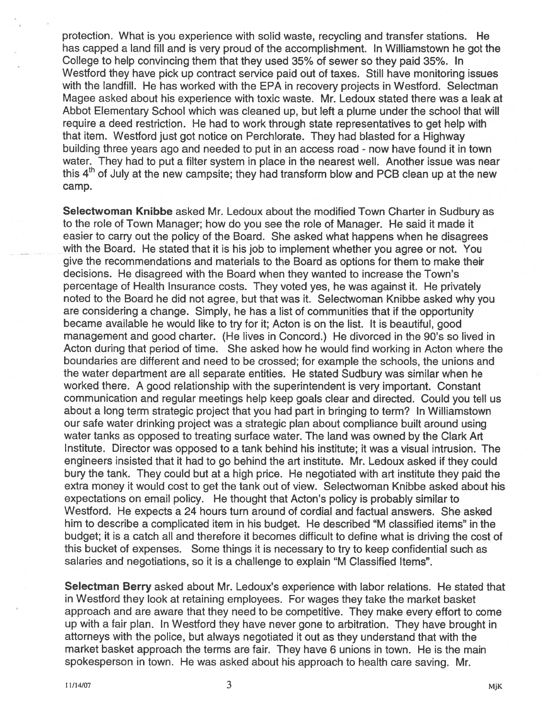protection. What is you experience with solid waste, recycling and transfer stations. He has capped <sup>a</sup> land fill and is very proud of the accomplishment. In Williamstown he go<sup>t</sup> the College to help convincing them that they used 35% of sewer so they paid 35%. In Westford they have pick up contract service paid out of taxes. Still have monitoring issues with the landfill. He has worked with the EPA in recovery projects in Westford. Selectman Magee asked about his experience with toxic waste. Mr. Ledoux stated there was <sup>a</sup> leak at Abbot Elementary School which was cleaned up, but left <sup>a</sup> plume under the school that will require <sup>a</sup> deed restriction. He had to work through state representatives to ge<sup>t</sup> help with that item. Wesiford just go<sup>t</sup> notice on Perchlorate. They had blasted for <sup>a</sup> Highway building three years ago and needed to pu<sup>t</sup> in an access road - now have found it in town water. They had to pu<sup>t</sup> <sup>a</sup> filter system in place in the nearest well. Another issue was near this  $4<sup>th</sup>$  of July at the new campsite; they had transform blow and PCB clean up at the new camp.

Selectwoman Knibbe asked Mr. Ledoux about the modified Town Charter in Sudbury as to the role of Town Manager; how do you see the role of Manager. He said it made it easier to carry out the policy of the Board. She asked what happens when he disagrees with the Board. He stated that it is his job to implement whether you agree or not. You give the recommendations and materials to the Board as options for them to make their decisions. He disagreed with the Board when they wanted to increase the Town's percentage of Health Insurance costs. They voted yes, he was against it. He privately noted to the Board he did not agree, but that was it. Selectwoman Knibbe asked why you are considering <sup>a</sup> change. Simply, he has <sup>a</sup> list of communities that if the opportunity became available he would like to try for it; Acton is on the list. It is beautiful, good managemen<sup>t</sup> and good charter. (He lives in Concord.) He divorced in the 90's so lived in Acton during that period of time. She asked how he would find working in Acton where the boundaries are different and need to be crossed; for example the schools, the unions and the water department are all separate entities. He stated Sudbury was similar when he worked there. <sup>A</sup> good relationship with the superintendent is very important. Constant communication and regular meetings help keep goals clear and directed. Could you tell us about <sup>a</sup> long term strategic project that you had par<sup>t</sup> in bringing to term? In Williamstown our safe water drinking project was <sup>a</sup> strategic plan about compliance built around using water tanks as opposed to treating surface water. The land was owned by the Clark Art Institute. Director was opposed to <sup>a</sup> tank behind his institute; it was <sup>a</sup> visual intrusion. The engineers insisted that it had to go behind the art institute. Mr. Ledoux asked if they could bury the tank. They could but at <sup>a</sup> high price. He negotiated with art institute they paid the extra money it would cost to ge<sup>t</sup> the tank out of view. Selectwoman Knibbe asked about his expectations on email policy. He thought that Acton's policy is probably similar to Wesiford. He expects <sup>a</sup> 24 hours turn around of cordial and factual answers. She asked him to describe <sup>a</sup> complicated item in his budget. He described "M classified items" in the budget; it is <sup>a</sup> catch all and therefore it becomes difficult to define what is driving the cost of this bucket of expenses. Some things it is necessary to try to keep confidential such as salaries and negotiations, so it is <sup>a</sup> challenge to explain "M Classified Items".

Selectman Berry asked about Mr. Ledoux's experience with labor relations. He stated that in Wesiford they look at retaining employees. For wages they take the market basket approac<sup>h</sup> and are aware that they need to be competitive. They make every effort to come up with <sup>a</sup> fair <sup>p</sup>lan. In Wesiford they have never gone to arbitration. They have brought in attorneys with the police, but always negotiated it out as they understand that with the market basket approach the terms are fair. They have 6 unions in town. He is the main spokesperson in town. He was asked about his approac<sup>h</sup> to health care saving. Mr.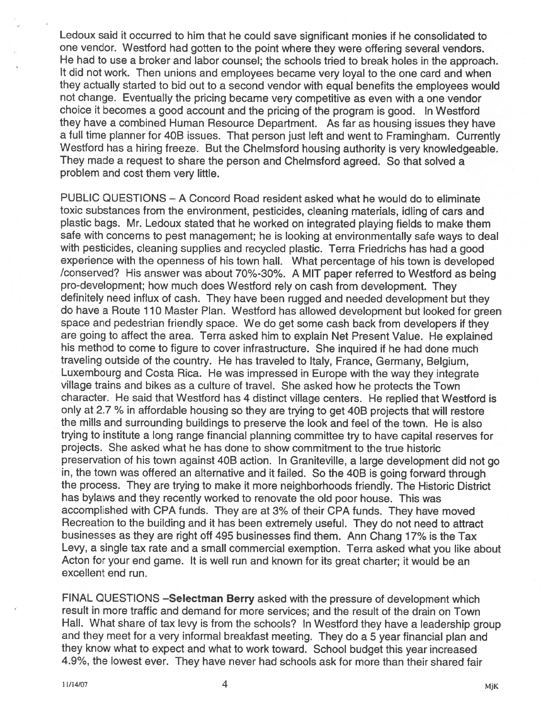Ledoux said it occurred to him that he could save significant monies if he consolidated to one vendor. Westford had gotten to the point where they were offering several vendors. He had to use <sup>a</sup> broker and labor counsel; the schools tried to break holes in the approach. It did not work. Then unions and employees became very loyal to the one card and when they actually started to bid out to <sup>a</sup> second vendor with equa<sup>l</sup> benefits the employees would not change. Eventually the pricing became very competitive as even with <sup>a</sup> one vendor choice it becomes <sup>a</sup> goo<sup>d</sup> account and the pricing of the program is good. In Wesiford they have <sup>a</sup> combined Human Resource Department. As far as housing issues they have <sup>a</sup> full time <sup>p</sup>lanner for 40B issues. That person just left and went to Framingham. Currently Westford has a hiring freeze. But the Chelmsford housing authority is very knowledgeable. They made <sup>a</sup> reques<sup>t</sup> to share the person and Chelmsford agreed. So that solved <sup>a</sup> problem and cost them very little.

PUBLIC QUESTIONS — A Concord Road resident asked what he would do to eliminate toxic substances from the environment, pesticides, cleaning materials, idling of cars and <sup>p</sup>lastic bags. Mr. Ledoux stated that he worked on integrated <sup>p</sup>laying fields to make them safe with concerns to pes<sup>t</sup> management; he is looking at environmentally safe ways to deal with pesticides, cleaning supplies and recycled <sup>p</sup>lastic. Terra Friedrichs has had <sup>a</sup> goo<sup>d</sup> experience with the openness of his town hail. What percentage of his town is developed /conserved? His answer was about 70%-30%. A MIT paper referred to Westford as being pro-development; how much does Westford rely on cash from development. They definitely need influx of cash. They have been rugge<sup>d</sup> and needed development but they do have <sup>a</sup> Route <sup>110</sup> Master Plan. Wesiford has allowed development but looked for green space and pedestrian friendly space. We do ge<sup>t</sup> some cash back from developers if they are going to affect the area. Terra asked him to explain Net Present Value. He explained his method to come to figure to cover infrastructure. She inquired it he had done much traveling outside of the country. He has traveled to Italy, France, Germany, Belgium, Luxembourg and Costa Rica. He was impressed in Europe with the way they integrate village trains and bikes as <sup>a</sup> culture of travel. She asked how he protects the Town character. He said that Wesiford has <sup>4</sup> distinct village centers. He replied that Wesiford is only at 2.7 % in affordable housing so they are trying to ge<sup>t</sup> 40B projects that will restore the mills and surrounding buildings to preserve the look and feel of the town. He is also trying to institute <sup>a</sup> long range financial <sup>p</sup>lanning committee try to have capital reserves for projects. She asked what he has done to show commitment to the true historic preservation of his town against 40B action. In Graniteville, <sup>a</sup> large development did not go in, the town was offered an alternative and it failed. So the 40B is going forward through the process. They are trying to make it more neighborhoods friendly. The Historic District has bylaws and they recently worked to renovate the old poor house. This was accomplished with CPA funds. They are at 3% of their CPA funds. They have moved Recreation to the building and it has been extremely useful. They do not need to attract businesses as they are right off <sup>495</sup> businesses find them. Ann Chang 17% is the Tax Levy, <sup>a</sup> single tax rate and <sup>a</sup> small commercial exemption. Terra asked what you like about Acton for your end game. It is well run and known for its grea<sup>t</sup> charter; it would be an excellent end run.

FINAL QUESTIONS —Selectman Berry asked with the pressure of development which result in more traffic and demand for more services; and the result of the drain on Town Hall. What share of tax levy is from the schools? In Wesiford they have <sup>a</sup> leadership group and they meet for <sup>a</sup> very informal breakfast meeting. They do <sup>a</sup> <sup>5</sup> year financial <sup>p</sup>lan and they know what to expec<sup>t</sup> and what to work toward. School budget this year increased 4.9%, the lowest ever. They have never had schools ask for more than their shared fair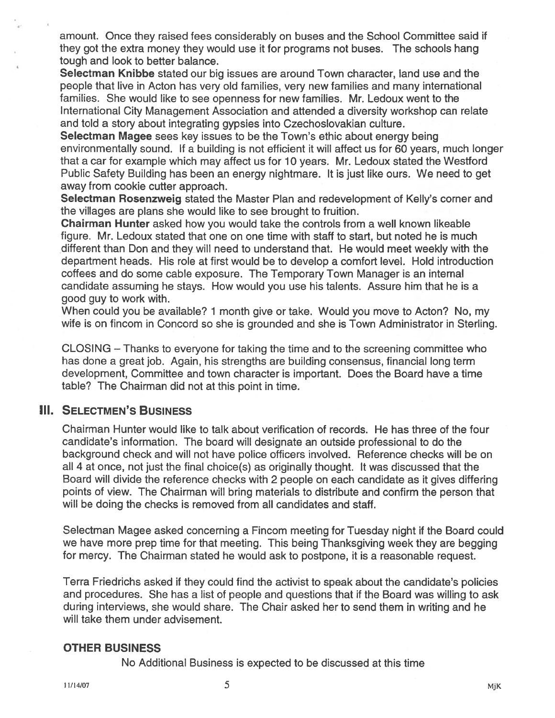amount. Once they raised fees considerably on buses and the School Committee said if they go<sup>t</sup> the extra money they would use it for programs not buses. The schools hang tough and look to better balance.

Selectman Knibbe stated our big issues are around Town character, land use and the people that live in Acton has very old families, very new families and many international families. She would like to see openness for new families. Mr. Ledoux went to the International City Management Association and attended <sup>a</sup> diversity workshop can relate and told <sup>a</sup> story about integrating gypsies into Czechoslovakian culture.

Selectman Magee sees key issues to be the Town's ethic about energy being environmentally sound. If <sup>a</sup> building is not efficient it will affect us for 60 years, much longer that <sup>a</sup> car for example which may affect us for 10 years. Mr. Ledoux stated the Wesiford Public Safety Building has been an energy nightmare. It is just like ours. We need to ge<sup>t</sup> away from cookie cutter approach.

Selectman Rosenzweig stated the Master Plan and redevelopment of Kelly's corner and the villages are plans she would like to see brought to fruition.

Chairman Hunter asked how you would take the controls from <sup>a</sup> well known likeable figure. Mr. Ledoux stated that one on one time with staff to start, but noted he is much different than Don and they will need to understand that. He would meet weekly with the department heads. His role at first would be to develop <sup>a</sup> comfort level. Hold introduction coffees and do some cable exposure. The Temporary Town Manager is an internal candidate assuming he stays. How would you use his talents. Assure him that he is <sup>a</sup> good guy to work with.

When could you be available? 1 month give or take. Would you move to Acton? No, my wife is on fincom in Concord so she is grounded and she is Town Administrator in Sterling.

CLOSING — Thanks to everyone for taking the time and to the screening committee who has done <sup>a</sup> grea<sup>t</sup> job. Again, his strengths are building consensus, financial long term development, Committee and town character is important. Does the Board have <sup>a</sup> time table? The Chairman did not at this point in time.

### **III. SELECTMEN'S BUSINESS**

Chairman Hunter would like to talk about verification of records. He has three of the four candidate's information. The board will designate an outside professional to do the background check and will not have police officers involved. Reference checks will be on all 4 at once, not just the final choice(s) as originally thought. It was discussed that the Board will divide the reference checks with <sup>2</sup> people on each candidate as it gives differing points of view. The Chairman will bring materials to distribute and confirm the person that will be doing the checks is removed from all candidates and staff.

Selectman Magee asked concerning <sup>a</sup> Fincom meeting for Tuesday night if the Board could we have more prep time for that meeting. This being Thanksgiving week they are begging for mercy. The Chairman stated he would ask to postpone, it is <sup>a</sup> reasonable request.

Terra Friedrichs asked if they could find the activist to speak about the candidate's policies and procedures. She has <sup>a</sup> list of people and questions that if the Board was willing to ask during interviews, she would share. The Chair asked her to send them in writing and he will take them under advisement.

### OTHER BUSINESS

No Additional Business is expected to be discussed at this time